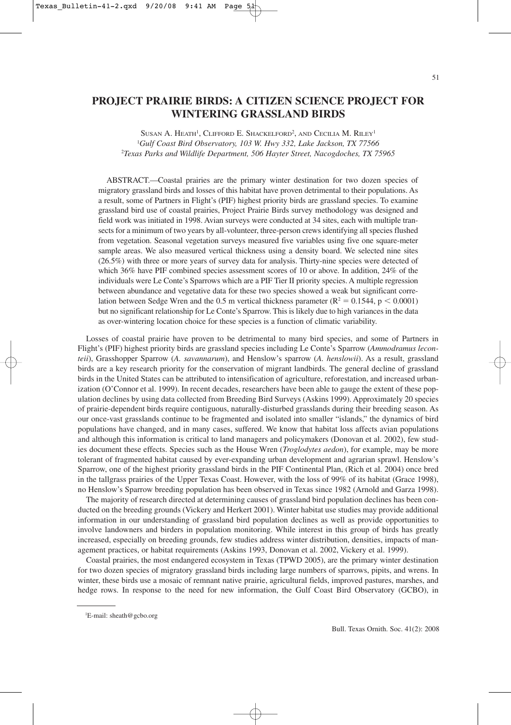# **PROJECT PRAIRIE BIRDS: A CITIZEN SCIENCE PROJECT FOR WINTERING GRASSLAND BIRDS**

SUSAN A. HEATH<sup>1</sup>, CLIFFORD E. SHACKELFORD<sup>2</sup>, AND CECILIA M. RILEY<sup>1</sup> 1 *Gulf Coast Bird Observatory, 103 W. Hwy 332, Lake Jackson, TX 77566* 2 *Texas Parks and Wildlife Department, 506 Hayter Street, Nacogdoches, TX 75965*

ABSTRACT.—Coastal prairies are the primary winter destination for two dozen species of migratory grassland birds and losses of this habitat have proven detrimental to their populations. As a result, some of Partners in Flight's (PIF) highest priority birds are grassland species. To examine grassland bird use of coastal prairies, Project Prairie Birds survey methodology was designed and field work was initiated in 1998. Avian surveys were conducted at 34 sites, each with multiple transects for a minimum of two years by all-volunteer, three-person crews identifying all species flushed from vegetation. Seasonal vegetation surveys measured five variables using five one square-meter sample areas. We also measured vertical thickness using a density board. We selected nine sites (26.5%) with three or more years of survey data for analysis. Thirty-nine species were detected of which 36% have PIF combined species assessment scores of 10 or above. In addition, 24% of the individuals were Le Conte's Sparrows which are a PIF Tier II priority species. A multiple regression between abundance and vegetative data for these two species showed a weak but significant correlation between Sedge Wren and the 0.5 m vertical thickness parameter ( $R^2 = 0.1544$ , p  $< 0.0001$ ) but no significant relationship for Le Conte's Sparrow. This is likely due to high variances in the data as over-wintering location choice for these species is a function of climatic variability.

Losses of coastal prairie have proven to be detrimental to many bird species, and some of Partners in Flight's (PIF) highest priority birds are grassland species including Le Conte's Sparrow (*Ammodramus leconteii*), Grasshopper Sparrow (*A. savannarum*), and Henslow's sparrow (*A. henslowii*). As a result, grassland birds are a key research priority for the conservation of migrant landbirds. The general decline of grassland birds in the United States can be attributed to intensification of agriculture, reforestation, and increased urbanization (O'Connor et al. 1999). In recent decades, researchers have been able to gauge the extent of these population declines by using data collected from Breeding Bird Surveys (Askins 1999). Approximately 20 species of prairie-dependent birds require contiguous, naturally-disturbed grasslands during their breeding season. As our once-vast grasslands continue to be fragmented and isolated into smaller "islands," the dynamics of bird populations have changed, and in many cases, suffered. We know that habitat loss affects avian populations and although this information is critical to land managers and policymakers (Donovan et al. 2002), few studies document these effects. Species such as the House Wren (*Troglodytes aedon*), for example, may be more tolerant of fragmented habitat caused by ever-expanding urban development and agrarian sprawl. Henslow's Sparrow, one of the highest priority grassland birds in the PIF Continental Plan, (Rich et al. 2004) once bred in the tallgrass prairies of the Upper Texas Coast. However, with the loss of 99% of its habitat (Grace 1998), no Henslow's Sparrow breeding population has been observed in Texas since 1982 (Arnold and Garza 1998).

The majority of research directed at determining causes of grassland bird population declines has been conducted on the breeding grounds (Vickery and Herkert 2001). Winter habitat use studies may provide additional information in our understanding of grassland bird population declines as well as provide opportunities to involve landowners and birders in population monitoring. While interest in this group of birds has greatly increased, especially on breeding grounds, few studies address winter distribution, densities, impacts of management practices, or habitat requirements (Askins 1993, Donovan et al. 2002, Vickery et al. 1999).

Coastal prairies, the most endangered ecosystem in Texas (TPWD 2005), are the primary winter destination for two dozen species of migratory grassland birds including large numbers of sparrows, pipits, and wrens. In winter, these birds use a mosaic of remnant native prairie, agricultural fields, improved pastures, marshes, and hedge rows. In response to the need for new information, the Gulf Coast Bird Observatory (GCBO), in

<sup>1</sup> E-mail: sheath@gcbo.org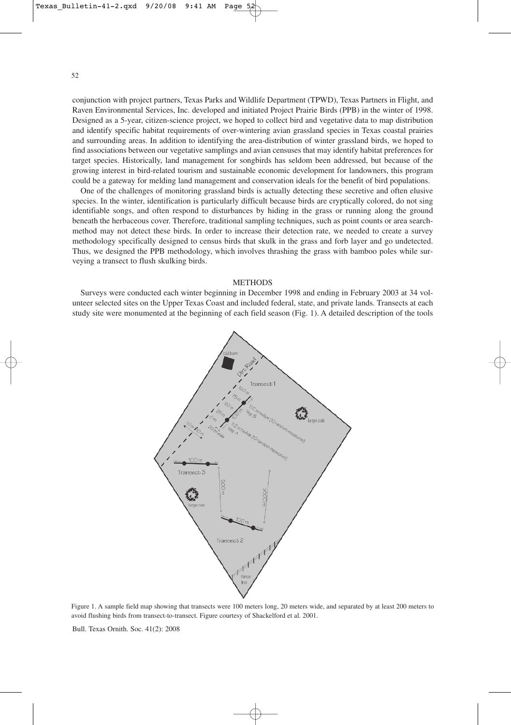52

conjunction with project partners, Texas Parks and Wildlife Department (TPWD), Texas Partners in Flight, and Raven Environmental Services, Inc. developed and initiated Project Prairie Birds (PPB) in the winter of 1998. Designed as a 5-year, citizen-science project, we hoped to collect bird and vegetative data to map distribution and identify specific habitat requirements of over-wintering avian grassland species in Texas coastal prairies and surrounding areas. In addition to identifying the area-distribution of winter grassland birds, we hoped to find associations between our vegetative samplings and avian censuses that may identify habitat preferences for target species. Historically, land management for songbirds has seldom been addressed, but because of the growing interest in bird-related tourism and sustainable economic development for landowners, this program could be a gateway for melding land management and conservation ideals for the benefit of bird populations.

One of the challenges of monitoring grassland birds is actually detecting these secretive and often elusive species. In the winter, identification is particularly difficult because birds are cryptically colored, do not sing identifiable songs, and often respond to disturbances by hiding in the grass or running along the ground beneath the herbaceous cover. Therefore, traditional sampling techniques, such as point counts or area searchmethod may not detect these birds. In order to increase their detection rate, we needed to create a survey methodology specifically designed to census birds that skulk in the grass and forb layer and go undetected. Thus, we designed the PPB methodology, which involves thrashing the grass with bamboo poles while surveying a transect to flush skulking birds.

#### METHODS

Surveys were conducted each winter beginning in December 1998 and ending in February 2003 at 34 volunteer selected sites on the Upper Texas Coast and included federal, state, and private lands. Transects at each study site were monumented at the beginning of each field season (Fig. 1). A detailed description of the tools



Figure 1. A sample field map showing that transects were 100 meters long, 20 meters wide, and separated by at least 200 meters to avoid flushing birds from transect-to-transect. Figure courtesy of Shackelford et al. 2001.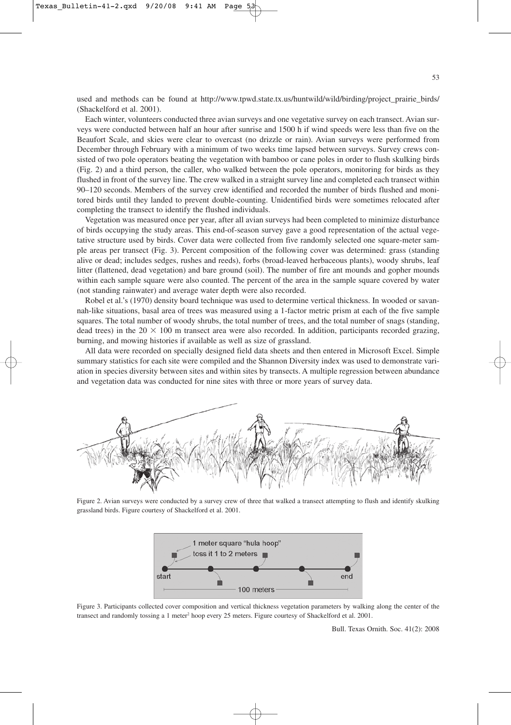used and methods can be found at http://www.tpwd.state.tx.us/huntwild/wild/birding/project\_prairie\_birds/ (Shackelford et al. 2001).

Each winter, volunteers conducted three avian surveys and one vegetative survey on each transect. Avian surveys were conducted between half an hour after sunrise and 1500 h if wind speeds were less than five on the Beaufort Scale, and skies were clear to overcast (no drizzle or rain). Avian surveys were performed from December through February with a minimum of two weeks time lapsed between surveys. Survey crews consisted of two pole operators beating the vegetation with bamboo or cane poles in order to flush skulking birds (Fig. 2) and a third person, the caller, who walked between the pole operators, monitoring for birds as they flushed in front of the survey line. The crew walked in a straight survey line and completed each transect within 90–120 seconds. Members of the survey crew identified and recorded the number of birds flushed and monitored birds until they landed to prevent double-counting. Unidentified birds were sometimes relocated after completing the transect to identify the flushed individuals.

Vegetation was measured once per year, after all avian surveys had been completed to minimize disturbance of birds occupying the study areas. This end-of-season survey gave a good representation of the actual vegetative structure used by birds. Cover data were collected from five randomly selected one square-meter sample areas per transect (Fig. 3). Percent composition of the following cover was determined: grass (standing alive or dead; includes sedges, rushes and reeds), forbs (broad-leaved herbaceous plants), woody shrubs, leaf litter (flattened, dead vegetation) and bare ground (soil). The number of fire ant mounds and gopher mounds within each sample square were also counted. The percent of the area in the sample square covered by water (not standing rainwater) and average water depth were also recorded.

Robel et al.'s (1970) density board technique was used to determine vertical thickness. In wooded or savannah-like situations, basal area of trees was measured using a 1-factor metric prism at each of the five sample squares. The total number of woody shrubs, the total number of trees, and the total number of snags (standing, dead trees) in the 20  $\times$  100 m transect area were also recorded. In addition, participants recorded grazing, burning, and mowing histories if available as well as size of grassland.

All data were recorded on specially designed field data sheets and then entered in Microsoft Excel. Simple summary statistics for each site were compiled and the Shannon Diversity index was used to demonstrate variation in species diversity between sites and within sites by transects. A multiple regression between abundance and vegetation data was conducted for nine sites with three or more years of survey data.



Figure 2. Avian surveys were conducted by a survey crew of three that walked a transect attempting to flush and identify skulking grassland birds. Figure courtesy of Shackelford et al. 2001.



Figure 3. Participants collected cover composition and vertical thickness vegetation parameters by walking along the center of the transect and randomly tossing a 1 meter<sup>2</sup> hoop every 25 meters. Figure courtesy of Shackelford et al. 2001.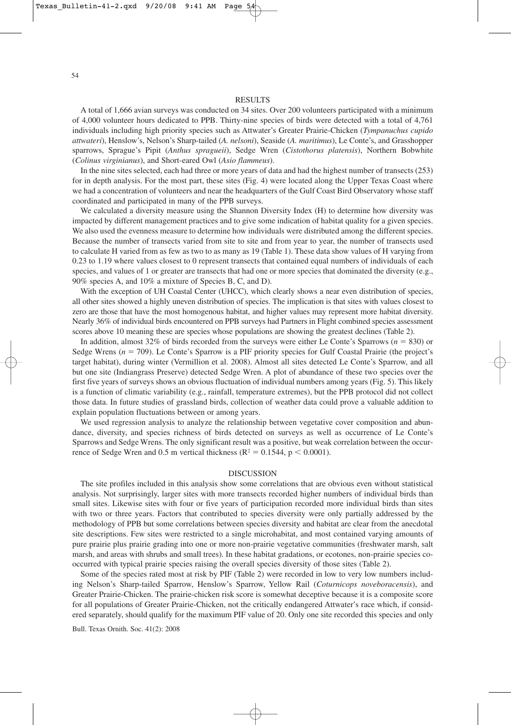54

### **RESULTS**

A total of 1,666 avian surveys was conducted on 34 sites. Over 200 volunteers participated with a minimum of 4,000 volunteer hours dedicated to PPB. Thirty-nine species of birds were detected with a total of 4,761 individuals including high priority species such as Attwater's Greater Prairie-Chicken (*Tympanuchus cupido attwateri*), Henslow's, Nelson's Sharp-tailed (*A. nelsoni*), Seaside (*A. maritimus*), Le Conte's, and Grasshopper sparrows, Sprague's Pipit (*Anthus spragueii*), Sedge Wren (*Cistothorus platensis*), Northern Bobwhite (*Colinus virginianus*), and Short-eared Owl (*Asio flammeus*).

In the nine sites selected, each had three or more years of data and had the highest number of transects (253) for in depth analysis. For the most part, these sites (Fig. 4) were located along the Upper Texas Coast where we had a concentration of volunteers and near the headquarters of the Gulf Coast Bird Observatory whose staff coordinated and participated in many of the PPB surveys.

We calculated a diversity measure using the Shannon Diversity Index (H) to determine how diversity was impacted by different management practices and to give some indication of habitat quality for a given species. We also used the evenness measure to determine how individuals were distributed among the different species. Because the number of transects varied from site to site and from year to year, the number of transects used to calculate H varied from as few as two to as many as 19 (Table 1). These data show values of H varying from 0.23 to 1.19 where values closest to 0 represent transects that contained equal numbers of individuals of each species, and values of 1 or greater are transects that had one or more species that dominated the diversity (e.g., 90% species A, and 10% a mixture of Species B, C, and D).

With the exception of UH Coastal Center (UHCC), which clearly shows a near even distribution of species, all other sites showed a highly uneven distribution of species. The implication is that sites with values closest to zero are those that have the most homogenous habitat, and higher values may represent more habitat diversity. Nearly 36% of individual birds encountered on PPB surveys had Partners in Flight combined species assessment scores above 10 meaning these are species whose populations are showing the greatest declines (Table 2).

In addition, almost 32% of birds recorded from the surveys were either Le Conte's Sparrows ( $n = 830$ ) or Sedge Wrens ( $n = 709$ ). Le Conte's Sparrow is a PIF priority species for Gulf Coastal Prairie (the project's target habitat), during winter (Vermillion et al. 2008). Almost all sites detected Le Conte's Sparrow, and all but one site (Indiangrass Preserve) detected Sedge Wren. A plot of abundance of these two species over the first five years of surveys shows an obvious fluctuation of individual numbers among years (Fig. 5). This likely is a function of climatic variability (e.g., rainfall, temperature extremes), but the PPB protocol did not collect those data. In future studies of grassland birds, collection of weather data could prove a valuable addition to explain population fluctuations between or among years.

We used regression analysis to analyze the relationship between vegetative cover composition and abundance, diversity, and species richness of birds detected on surveys as well as occurrence of Le Conte's Sparrows and Sedge Wrens. The only significant result was a positive, but weak correlation between the occurrence of Sedge Wren and 0.5 m vertical thickness ( $\mathbb{R}^2 = 0.1544$ ,  $p \le 0.0001$ ).

#### DISCUSSION

The site profiles included in this analysis show some correlations that are obvious even without statistical analysis. Not surprisingly, larger sites with more transects recorded higher numbers of individual birds than small sites. Likewise sites with four or five years of participation recorded more individual birds than sites with two or three years. Factors that contributed to species diversity were only partially addressed by the methodology of PPB but some correlations between species diversity and habitat are clear from the anecdotal site descriptions. Few sites were restricted to a single microhabitat, and most contained varying amounts of pure prairie plus prairie grading into one or more non-prairie vegetative communities (freshwater marsh, salt marsh, and areas with shrubs and small trees). In these habitat gradations, or ecotones, non-prairie species cooccurred with typical prairie species raising the overall species diversity of those sites (Table 2).

Some of the species rated most at risk by PIF (Table 2) were recorded in low to very low numbers including Nelson's Sharp-tailed Sparrow, Henslow's Sparrow, Yellow Rail (*Coturnicops noveboracensis*), and Greater Prairie-Chicken. The prairie-chicken risk score is somewhat deceptive because it is a composite score for all populations of Greater Prairie-Chicken, not the critically endangered Attwater's race which, if considered separately, should qualify for the maximum PIF value of 20. Only one site recorded this species and only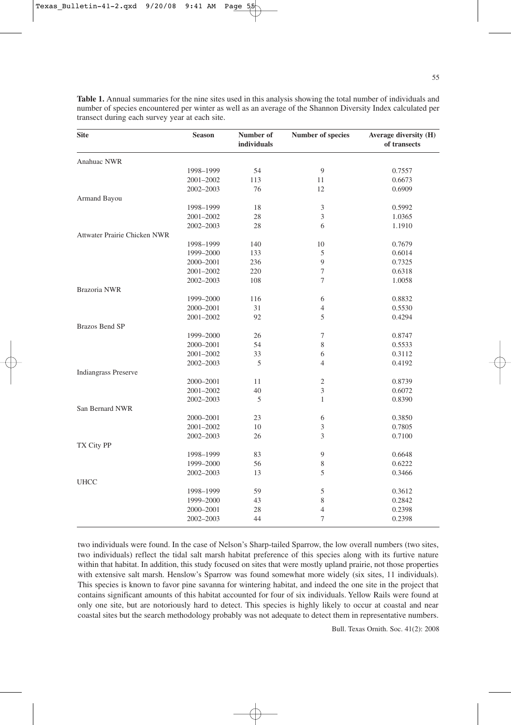| <b>Site</b>                  | <b>Season</b> | Number of<br>individuals | Number of species | Average diversity (H)<br>of transects |
|------------------------------|---------------|--------------------------|-------------------|---------------------------------------|
| Anahuac NWR                  |               |                          |                   |                                       |
|                              | 1998-1999     | 54                       | 9                 | 0.7557                                |
|                              | 2001-2002     | 113                      | 11                | 0.6673                                |
|                              | 2002-2003     | 76                       | 12                | 0.6909                                |
| Armand Bayou                 |               |                          |                   |                                       |
|                              | 1998-1999     | 18                       | $\mathfrak{Z}$    | 0.5992                                |
|                              | 2001-2002     | 28                       | 3                 | 1.0365                                |
|                              | 2002-2003     | 28                       | 6                 | 1.1910                                |
| Attwater Prairie Chicken NWR |               |                          |                   |                                       |
|                              | 1998-1999     | 140                      | 10                | 0.7679                                |
|                              | 1999-2000     | 133                      | 5                 | 0.6014                                |
|                              | 2000-2001     | 236                      | $\boldsymbol{9}$  | 0.7325                                |
|                              | 2001-2002     | 220                      | 7                 | 0.6318                                |
|                              | 2002-2003     | 108                      | 7                 | 1.0058                                |
| Brazoria NWR                 |               |                          |                   |                                       |
|                              | 1999-2000     | 116                      | 6                 | 0.8832                                |
|                              | 2000-2001     | 31                       | $\overline{4}$    | 0.5530                                |
|                              | 2001-2002     | 92                       | 5                 | 0.4294                                |
| Brazos Bend SP               |               |                          |                   |                                       |
|                              | 1999-2000     | 26                       | $\boldsymbol{7}$  | 0.8747                                |
|                              | 2000-2001     | 54                       | 8                 | 0.5533                                |
|                              | 2001-2002     | 33                       | 6                 | 0.3112                                |
|                              | 2002-2003     | 5                        | $\overline{4}$    | 0.4192                                |
| <b>Indiangrass Preserve</b>  |               |                          |                   |                                       |
|                              | 2000-2001     | 11                       | $\mathfrak{2}$    | 0.8739                                |
|                              | 2001-2002     | 40                       | $\mathfrak{Z}$    | 0.6072                                |
|                              | 2002-2003     | 5                        | $\mathbf{1}$      | 0.8390                                |
| San Bernard NWR              |               |                          |                   |                                       |
|                              | 2000-2001     | 23                       | 6                 | 0.3850                                |
|                              | 2001-2002     | 10                       | $\mathfrak{Z}$    | 0.7805                                |
|                              | 2002-2003     | 26                       | 3                 | 0.7100                                |
| TX City PP                   |               |                          |                   |                                       |
|                              | 1998-1999     | 83                       | $\boldsymbol{9}$  | 0.6648                                |
|                              | 1999-2000     | 56                       | $\,$ 8 $\,$       | 0.6222                                |
|                              | 2002-2003     | 13                       | 5                 | 0.3466                                |
| <b>UHCC</b>                  |               |                          |                   |                                       |
|                              | 1998-1999     | 59                       | 5                 | 0.3612                                |
|                              | 1999-2000     | 43                       | 8                 | 0.2842                                |
|                              | 2000-2001     | 28                       | $\overline{4}$    | 0.2398                                |
|                              | 2002-2003     | 44                       | $\tau$            | 0.2398                                |

**Table 1.** Annual summaries for the nine sites used in this analysis showing the total number of individuals and number of species encountered per winter as well as an average of the Shannon Diversity Index calculated per transect during each survey year at each site.

two individuals were found. In the case of Nelson's Sharp-tailed Sparrow, the low overall numbers (two sites, two individuals) reflect the tidal salt marsh habitat preference of this species along with its furtive nature within that habitat. In addition, this study focused on sites that were mostly upland prairie, not those properties with extensive salt marsh. Henslow's Sparrow was found somewhat more widely (six sites, 11 individuals). This species is known to favor pine savanna for wintering habitat, and indeed the one site in the project that contains significant amounts of this habitat accounted for four of six individuals. Yellow Rails were found at only one site, but are notoriously hard to detect. This species is highly likely to occur at coastal and near coastal sites but the search methodology probably was not adequate to detect them in representative numbers.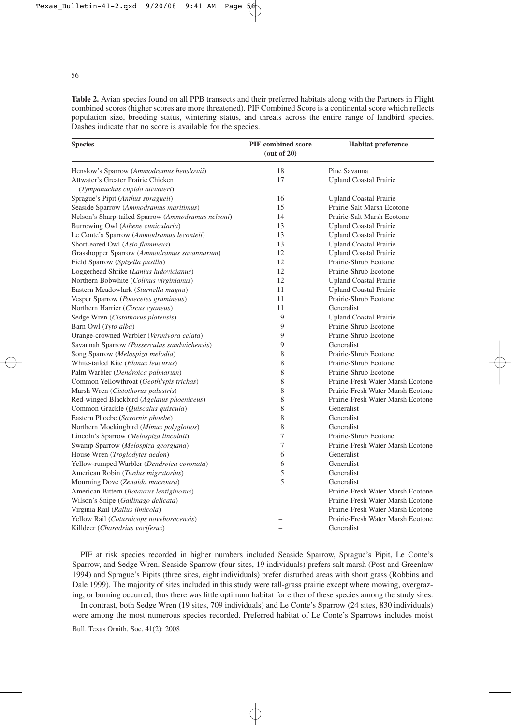56

**Table 2.** Avian species found on all PPB transects and their preferred habitats along with the Partners in Flight combined scores (higher scores are more threatened). PIF Combined Score is a continental score which reflects population size, breeding status, wintering status, and threats across the entire range of landbird species. Dashes indicate that no score is available for the species.

| <b>Species</b>                                                       | <b>PIF</b> combined score<br>(out of 20) | <b>Habitat preference</b>         |
|----------------------------------------------------------------------|------------------------------------------|-----------------------------------|
| Henslow's Sparrow (Ammodramus henslowii)                             | 18                                       | Pine Savanna                      |
| Attwater's Greater Prairie Chicken<br>(Tympanuchus cupido attwateri) | 17                                       | <b>Upland Coastal Prairie</b>     |
| Sprague's Pipit (Anthus spragueii)                                   | 16                                       | <b>Upland Coastal Prairie</b>     |
| Seaside Sparrow (Ammodramus maritimus)                               | 15                                       | Prairie-Salt Marsh Ecotone        |
| Nelson's Sharp-tailed Sparrow (Ammodramus nelsoni)                   | 14                                       | Prairie-Salt Marsh Ecotone        |
| Burrowing Owl (Athene cunicularia)                                   | 13                                       | <b>Upland Coastal Prairie</b>     |
| Le Conte's Sparrow (Ammodramus leconteii)                            | 13                                       | <b>Upland Coastal Prairie</b>     |
| Short-eared Owl (Asio flammeus)                                      | 13                                       | <b>Upland Coastal Prairie</b>     |
| Grasshopper Sparrow (Ammodramus savannarum)                          | 12                                       | <b>Upland Coastal Prairie</b>     |
| Field Sparrow (Spizella pusilla)                                     | 12                                       | Prairie-Shrub Ecotone             |
| Loggerhead Shrike (Lanius ludovicianus)                              | 12                                       | Prairie-Shrub Ecotone             |
| Northern Bobwhite (Colinus virginianus)                              | 12                                       | <b>Upland Coastal Prairie</b>     |
| Eastern Meadowlark (Sturnella magna)                                 | 11                                       | <b>Upland Coastal Prairie</b>     |
| Vesper Sparrow (Pooecetes gramineus)                                 | 11                                       | Prairie-Shrub Ecotone             |
| Northern Harrier (Circus cyaneus)                                    | 11                                       | Generalist                        |
| Sedge Wren (Cistothorus platensis)                                   | 9                                        | <b>Upland Coastal Prairie</b>     |
| Barn Owl (Tyto alba)                                                 | 9                                        | Prairie-Shrub Ecotone             |
| Orange-crowned Warbler (Vermivora celata)                            | 9                                        | Prairie-Shrub Ecotone             |
| Savannah Sparrow (Passerculus sandwichensis)                         | 9                                        | Generalist                        |
| Song Sparrow (Melospiza melodia)                                     | 8                                        | Prairie-Shrub Ecotone             |
| White-tailed Kite (Elanus leucurus)                                  | 8                                        | Prairie-Shrub Ecotone             |
| Palm Warbler (Dendroica palmarum)                                    | 8                                        | Prairie-Shrub Ecotone             |
| Common Yellowthroat (Geothlypis trichas)                             | 8                                        | Prairie-Fresh Water Marsh Ecotone |
| Marsh Wren (Cistothorus palustris)                                   | 8                                        | Prairie-Fresh Water Marsh Ecotone |
| Red-winged Blackbird (Agelaius phoeniceus)                           | 8                                        | Prairie-Fresh Water Marsh Ecotone |
| Common Grackle (Quiscalus quiscula)                                  | 8                                        | Generalist                        |
| Eastern Phoebe (Sayornis phoebe)                                     | 8                                        | Generalist                        |
| Northern Mockingbird (Mimus polyglottos)                             | 8                                        | Generalist                        |
| Lincoln's Sparrow (Melospiza lincolnii)                              | 7                                        | Prairie-Shrub Ecotone             |
| Swamp Sparrow (Melospiza georgiana)                                  | 7                                        | Prairie-Fresh Water Marsh Ecotone |
| House Wren (Troglodytes aedon)                                       | 6                                        | Generalist                        |
| Yellow-rumped Warbler (Dendroica coronata)                           | 6                                        | Generalist                        |
| American Robin (Turdus migratorius)                                  | 5                                        | Generalist                        |
| Mourning Dove (Zenaida macroura)                                     | 5                                        | Generalist                        |
| American Bittern (Botaurus lentiginosus)                             |                                          | Prairie-Fresh Water Marsh Ecotone |
| Wilson's Snipe (Gallinago delicata)                                  |                                          | Prairie-Fresh Water Marsh Ecotone |
| Virginia Rail (Rallus limicola)                                      |                                          | Prairie-Fresh Water Marsh Ecotone |
| Yellow Rail (Coturnicops noveboracensis)                             |                                          | Prairie-Fresh Water Marsh Ecotone |
| Killdeer (Charadrius vociferus)                                      |                                          | Generalist                        |

PIF at risk species recorded in higher numbers included Seaside Sparrow, Sprague's Pipit, Le Conte's Sparrow, and Sedge Wren. Seaside Sparrow (four sites, 19 individuals) prefers salt marsh (Post and Greenlaw 1994) and Sprague's Pipits (three sites, eight individuals) prefer disturbed areas with short grass (Robbins and Dale 1999). The majority of sites included in this study were tall-grass prairie except where mowing, overgrazing, or burning occurred, thus there was little optimum habitat for either of these species among the study sites.

In contrast, both Sedge Wren (19 sites, 709 individuals) and Le Conte's Sparrow (24 sites, 830 individuals) were among the most numerous species recorded. Preferred habitat of Le Conte's Sparrows includes moist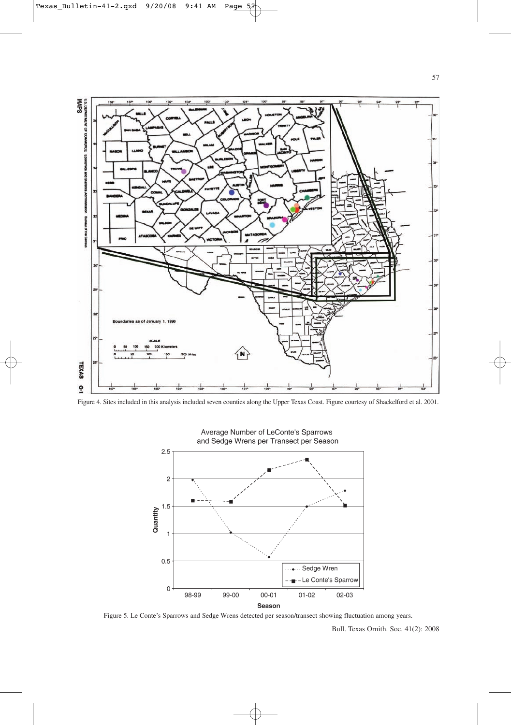

Figure 4. Sites included in this analysis included seven counties along the Upper Texas Coast. Figure courtesy of Shackelford et al. 2001.



Average Number of LeConte's Sparrows and Sedge Wrens per Transect per Season

Figure 5. Le Conte's Sparrows and Sedge Wrens detected per season/transect showing fluctuation among years.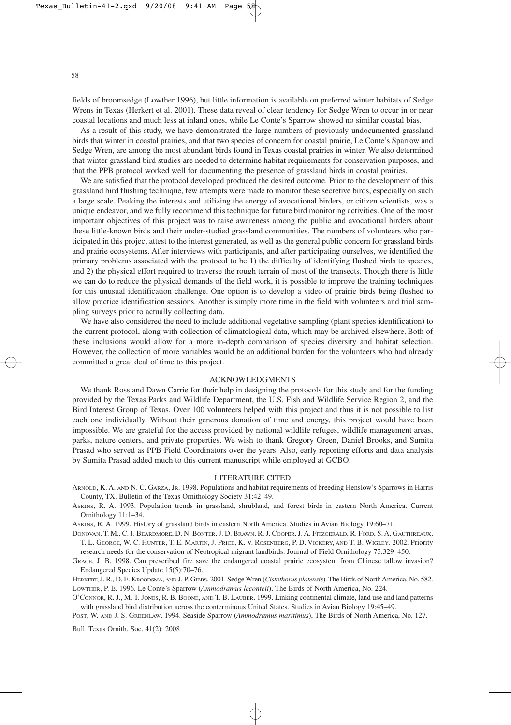fields of broomsedge (Lowther 1996), but little information is available on preferred winter habitats of Sedge Wrens in Texas (Herkert et al. 2001). These data reveal of clear tendency for Sedge Wren to occur in or near coastal locations and much less at inland ones, while Le Conte's Sparrow showed no similar coastal bias.

As a result of this study, we have demonstrated the large numbers of previously undocumented grassland birds that winter in coastal prairies, and that two species of concern for coastal prairie, Le Conte's Sparrow and Sedge Wren, are among the most abundant birds found in Texas coastal prairies in winter. We also determined that winter grassland bird studies are needed to determine habitat requirements for conservation purposes, and that the PPB protocol worked well for documenting the presence of grassland birds in coastal prairies.

We are satisfied that the protocol developed produced the desired outcome. Prior to the development of this grassland bird flushing technique, few attempts were made to monitor these secretive birds, especially on such a large scale. Peaking the interests and utilizing the energy of avocational birders, or citizen scientists, was a unique endeavor, and we fully recommend this technique for future bird monitoring activities. One of the most important objectives of this project was to raise awareness among the public and avocational birders about these little-known birds and their under-studied grassland communities. The numbers of volunteers who participated in this project attest to the interest generated, as well as the general public concern for grassland birds and prairie ecosystems. After interviews with participants, and after participating ourselves, we identified the primary problems associated with the protocol to be 1) the difficulty of identifying flushed birds to species, and 2) the physical effort required to traverse the rough terrain of most of the transects. Though there is little we can do to reduce the physical demands of the field work, it is possible to improve the training techniques for this unusual identification challenge. One option is to develop a video of prairie birds being flushed to allow practice identification sessions. Another is simply more time in the field with volunteers and trial sampling surveys prior to actually collecting data.

We have also considered the need to include additional vegetative sampling (plant species identification) to the current protocol, along with collection of climatological data, which may be archived elsewhere. Both of these inclusions would allow for a more in-depth comparison of species diversity and habitat selection. However, the collection of more variables would be an additional burden for the volunteers who had already committed a great deal of time to this project.

#### ACKNOWLEDGMENTS

We thank Ross and Dawn Carrie for their help in designing the protocols for this study and for the funding provided by the Texas Parks and Wildlife Department, the U.S. Fish and Wildlife Service Region 2, and the Bird Interest Group of Texas. Over 100 volunteers helped with this project and thus it is not possible to list each one individually. Without their generous donation of time and energy, this project would have been impossible. We are grateful for the access provided by national wildlife refuges, wildlife management areas, parks, nature centers, and private properties. We wish to thank Gregory Green, Daniel Brooks, and Sumita Prasad who served as PPB Field Coordinators over the years. Also, early reporting efforts and data analysis by Sumita Prasad added much to this current manuscript while employed at GCBO.

#### LITERATURE CITED

ARNOLD, K. A. AND N. C. GARZA, JR. 1998. Populations and habitat requirements of breeding Henslow's Sparrows in Harris County, TX. Bulletin of the Texas Ornithology Society 31:42–49.

ASKINS, R. A. 1993. Population trends in grassland, shrubland, and forest birds in eastern North America. Current Ornithology 11:1–34.

ASKINS, R. A. 1999. History of grassland birds in eastern North America. Studies in Avian Biology 19:60–71.

DONOVAN, T. M., C. J. BEARDMORE, D. N. BONTER, J. D. BRAWN, R. J. COOPER, J. A. FITZGERALD, R. FORD, S. A. GAUTHREAUX, T. L. GEORGE, W. C. HUNTER, T. E. MARTIN, J. PRICE, K. V. ROSENBERG, P. D. VICKERY, AND T. B. WIGLEY. 2002. Priority research needs for the conservation of Neotropical migrant landbirds. Journal of Field Ornithology 73:329–450.

GRACE, J. B. 1998. Can prescribed fire save the endangered coastal prairie ecosystem from Chinese tallow invasion? Endangered Species Update 15(5):70–76.

HERKERT, J. R., D. E. KROODSMA, AND J. P. GIBBS. 2001. Sedge Wren (*Cistothorus platensis*). The Birds of North America, No. 582. LOWTHER, P. E. 1996. Le Conte's Sparrow (*Ammodramus leconteii*). The Birds of North America, No. 224.

O'CONNOR, R. J., M. T. JONES, R. B. BOONE, AND T. B. LAUBER. 1999. Linking continental climate, land use and land patterns with grassland bird distribution across the conterminous United States. Studies in Avian Biology 19:45–49.

POST, W. AND J. S. GREENLAW. 1994. Seaside Sparrow (*Ammodramus maritimus*), The Birds of North America, No. 127.

Bull. Texas Ornith. Soc. 41(2): 2008

58